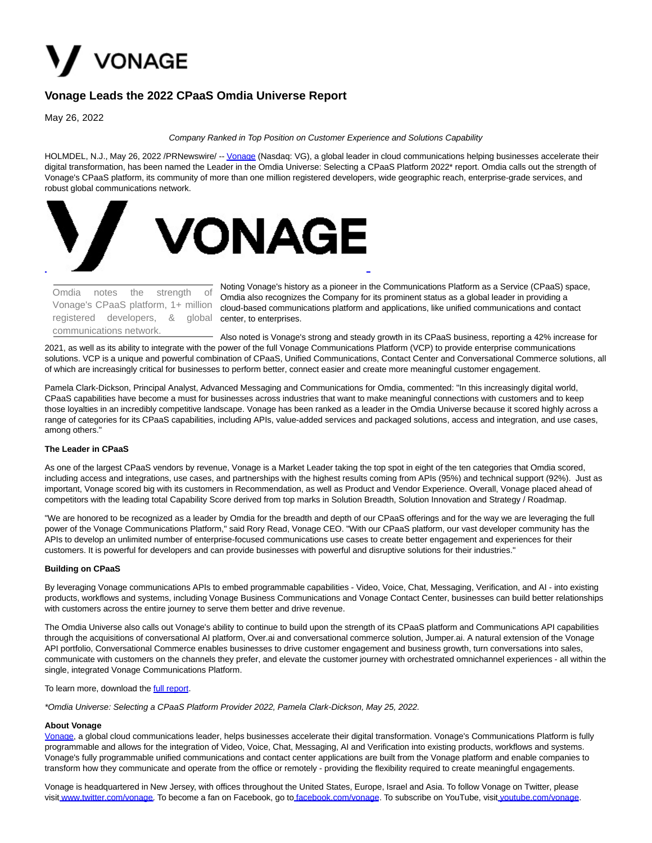

# **Vonage Leads the 2022 CPaaS Omdia Universe Report**

May 26, 2022

Company Ranked in Top Position on Customer Experience and Solutions Capability

HOLMDEL, N.J., May 26, 2022 /PRNewswire/ -- [Vonage \(](https://c212.net/c/link/?t=0&l=en&o=3547495-1&h=2315163926&u=https%3A%2F%2Fwww.vonage.com%2F&a=Vonage)Nasdaq: VG), a global leader in cloud communications helping businesses accelerate their digital transformation, has been named the Leader in the Omdia Universe: Selecting a CPaaS Platform 2022\* report. Omdia calls out the strength of Vonage's CPaaS platform, its community of more than one million registered developers, wide geographic reach, enterprise-grade services, and robust global communications network.



registered developers, & global center, to enterprises. Omdia notes the strength of Vonage's CPaaS platform, 1+ million communications network.

Noting Vonage's history as a pioneer in the Communications Platform as a Service (CPaaS) space, Omdia also recognizes the Company for its prominent status as a global leader in providing a cloud-based communications platform and applications, like unified communications and contact

Also noted is Vonage's strong and steady growth in its CPaaS business, reporting a 42% increase for 2021, as well as its ability to integrate with the power of the full Vonage Communications Platform (VCP) to provide enterprise communications solutions. VCP is a unique and powerful combination of CPaaS, Unified Communications, Contact Center and Conversational Commerce solutions, all of which are increasingly critical for businesses to perform better, connect easier and create more meaningful customer engagement.

Pamela Clark-Dickson, Principal Analyst, Advanced Messaging and Communications for Omdia, commented: "In this increasingly digital world, CPaaS capabilities have become a must for businesses across industries that want to make meaningful connections with customers and to keep those loyalties in an incredibly competitive landscape. Vonage has been ranked as a leader in the Omdia Universe because it scored highly across a range of categories for its CPaaS capabilities, including APIs, value-added services and packaged solutions, access and integration, and use cases, among others."

# **The Leader in CPaaS**

As one of the largest CPaaS vendors by revenue, Vonage is a Market Leader taking the top spot in eight of the ten categories that Omdia scored, including access and integrations, use cases, and partnerships with the highest results coming from APIs (95%) and technical support (92%). Just as important, Vonage scored big with its customers in Recommendation, as well as Product and Vendor Experience. Overall, Vonage placed ahead of competitors with the leading total Capability Score derived from top marks in Solution Breadth, Solution Innovation and Strategy / Roadmap.

"We are honored to be recognized as a leader by Omdia for the breadth and depth of our CPaaS offerings and for the way we are leveraging the full power of the Vonage Communications Platform," said Rory Read, Vonage CEO. "With our CPaaS platform, our vast developer community has the APIs to develop an unlimited number of enterprise-focused communications use cases to create better engagement and experiences for their customers. It is powerful for developers and can provide businesses with powerful and disruptive solutions for their industries."

## **Building on CPaaS**

By leveraging Vonage communications APIs to embed programmable capabilities - Video, Voice, Chat, Messaging, Verification, and AI - into existing products, workflows and systems, including Vonage Business Communications and Vonage Contact Center, businesses can build better relationships with customers across the entire journey to serve them better and drive revenue.

The Omdia Universe also calls out Vonage's ability to continue to build upon the strength of its CPaaS platform and Communications API capabilities through the acquisitions of conversational AI platform, Over.ai and conversational commerce solution, Jumper.ai. A natural extension of the Vonage API portfolio, Conversational Commerce enables businesses to drive customer engagement and business growth, turn conversations into sales, communicate with customers on the channels they prefer, and elevate the customer journey with orchestrated omnichannel experiences - all within the single, integrated Vonage Communications Platform.

#### To learn more, download the **full report**.

\*Omdia Universe: Selecting a CPaaS Platform Provider 2022, Pamela Clark-Dickson, May 25, 2022.

## **About Vonage**

[Vonage,](https://c212.net/c/link/?t=0&l=en&o=3547495-1&h=3695193938&u=http%3A%2F%2Fwww.vonage.com%2F&a=Vonage) a global cloud communications leader, helps businesses accelerate their digital transformation. Vonage's Communications Platform is fully programmable and allows for the integration of Video, Voice, Chat, Messaging, AI and Verification into existing products, workflows and systems. Vonage's fully programmable unified communications and contact center applications are built from the Vonage platform and enable companies to transform how they communicate and operate from the office or remotely - providing the flexibility required to create meaningful engagements.

Vonage is headquartered in New Jersey, with offices throughout the United States, Europe, Israel and Asia. To follow Vonage on Twitter, please visit [www.twitter.com/vonage.](https://c212.net/c/link/?t=0&l=en&o=3547495-1&h=2103766059&u=https%3A%2F%2Fc212.net%2Fc%2Flink%2F%3Ft%3D0%26l%3Den%26o%3D3487026-1%26h%3D1621948347%26u%3Dhttps%253A%252F%252Fc212.net%252Fc%252Flink%252F%253Ft%253D0%2526l%253Den%2526o%253D2823531-1%2526h%253D2164537669%2526u%253Dhttp%25253A%25252F%25252Fwww.twitter.com%25252Fvonage%2526a%253Dwww.twitter.com%25252Fvonage%26a%3Dwww.twitter.com%252Fvonage&a=www.twitter.com%2Fvonage) To become a [f](https://c212.net/c/link/?t=0&l=en&o=3547495-1&h=1821869699&u=https%3A%2F%2Fc212.net%2Fc%2Flink%2F%3Ft%3D0%26l%3Den%26o%3D3487026-1%26h%3D4087526182%26u%3Dhttp%253A%252F%252Ffacebook.com%252Fvonage%26a%3D%25C2%25A0&a=%C2%A0)an on Facebook, go to f[acebook.com/vonage.](https://c212.net/c/link/?t=0&l=en&o=3547495-1&h=3948028096&u=https%3A%2F%2Fc212.net%2Fc%2Flink%2F%3Ft%3D0%26l%3Den%26o%3D3487026-1%26h%3D3228188809%26u%3Dhttp%253A%252F%252Ffacebook.com%252Fvonage%26a%3Dfacebook.com%252Fvonage&a=facebook.com%2Fvonage) To subscribe on YouTube, visit [youtube.com/vonage.](https://c212.net/c/link/?t=0&l=en&o=3547495-1&h=4045063179&u=https%3A%2F%2Fc212.net%2Fc%2Flink%2F%3Ft%3D0%26l%3Den%26o%3D3487026-1%26h%3D1997266123%26u%3Dhttp%253A%252F%252Fyoutube.com%252Fvonage%26a%3Dyoutube.com%252Fvonage&a=youtube.com%2Fvonage)